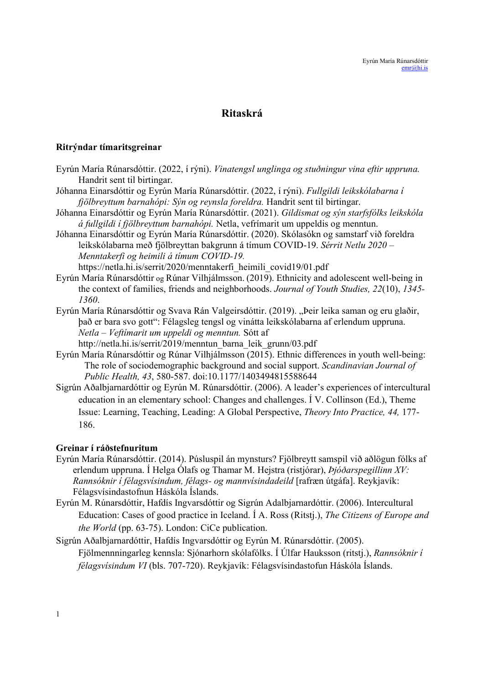# Ritaskrá

### Ritrýndar tímaritsgreinar

- Eyrún María Rúnarsdóttir. (2022, í rýni). Vinatengsl unglinga og stuðningur vina eftir uppruna. Handrit sent til birtingar.
- Jóhanna Einarsdóttir og Eyrún María Rúnarsdóttir. (2022, í rýni). Fullgildi leikskólabarna í fjölbreyttum barnahópi: Sýn og reynsla foreldra. Handrit sent til birtingar.
- Jóhanna Einarsdóttir og Eyrún María Rúnarsdóttir. (2021). Gildismat og sýn starfsfólks leikskóla á fullgildi í fjölbreyttum barnahópi. Netla, vefrímarit um uppeldis og menntun.
- Jóhanna Einarsdóttir og Eyrún María Rúnarsdóttir. (2020). Skólasókn og samstarf við foreldra leikskólabarna með fjölbreyttan bakgrunn á tímum COVID-19. Sérrit Netlu 2020 – Menntakerfi og heimili á tímum COVID-19.

https://netla.hi.is/serrit/2020/menntakerfi\_heimili\_covid19/01.pdf

- Eyrún María Rúnarsdóttir og Rúnar Vilhjálmsson. (2019). Ethnicity and adolescent well-being in the context of families, friends and neighborhoods. Journal of Youth Studies, 22(10), 1345- 1360.
- Eyrún María Rúnarsdóttir og Svava Rán Valgeirsdóttir. (2019). "Þeir leika saman og eru glaðir, það er bara svo gott": Félagsleg tengsl og vinátta leikskólabarna af erlendum uppruna. Netla – Veftímarit um uppeldi og menntun. Sótt af http://netla.hi.is/serrit/2019/menntun\_barna\_leik\_grunn/03.pdf
- Eyrún María Rúnarsdóttir og Rúnar Vilhjálmsson (2015). Ethnic differences in youth well-being: The role of sociodemographic background and social support. Scandinavian Journal of Public Health, 43, 580-587. doi:10.1177/1403494815588644
- Sigrún Aðalbjarnardóttir og Eyrún M. Rúnarsdóttir. (2006). A leader's experiences of intercultural education in an elementary school: Changes and challenges. Í V. Collinson (Ed.), Theme Issue: Learning, Teaching, Leading: A Global Perspective, Theory Into Practice, 44, 177- 186.

## Greinar í ráðstefnuritum

- Eyrún María Rúnarsdóttir. (2014). Púsluspil án mynsturs? Fjölbreytt samspil við aðlögun fólks af erlendum uppruna. Í Helga Ólafs og Thamar M. Hejstra (ristjórar), *Þjóðarspegillinn XV*: Rannsóknir í félagsvísindum, félags- og mannvísindadeild [rafræn útgáfa]. Reykjavík: Félagsvísindastofnun Háskóla Íslands.
- Eyrún M. Rúnarsdóttir, Hafdís Ingvarsdóttir og Sigrún Adalbjarnardóttir. (2006). Intercultural Education: Cases of good practice in Iceland. Í A. Ross (Ritstj.), The Citizens of Europe and the World (pp. 63-75). London: CiCe publication.
- Sigrún Aðalbjarnardóttir, Hafdís Ingvarsdóttir og Eyrún M. Rúnarsdóttir. (2005). Fjölmennningarleg kennsla: Sjónarhorn skólafólks. Í Úlfar Hauksson (ritstj.), Rannsóknir í félagsvísindum VI (bls. 707-720). Reykjavík: Félagsvísindastofun Háskóla Íslands.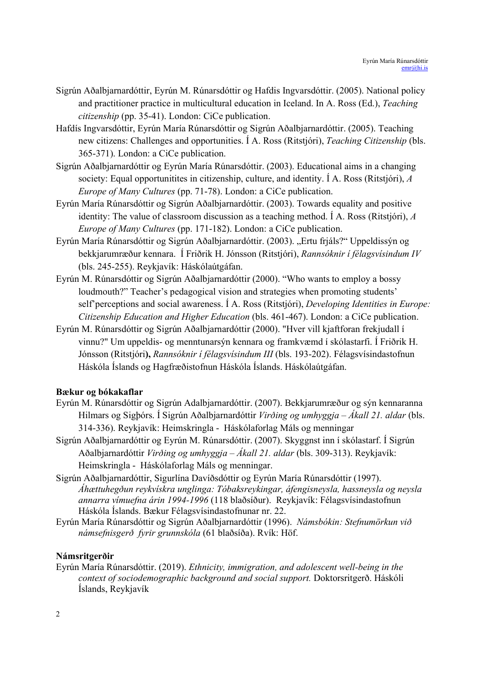- Sigrún Aðalbjarnardóttir, Eyrún M. Rúnarsdóttir og Hafdis Ingvarsdóttir. (2005). National policy and practitioner practice in multicultural education in Iceland. In A. Ross (Ed.), Teaching citizenship (pp. 35-41). London: CiCe publication.
- Hafdís Ingvarsdóttir, Eyrún María Rúnarsdóttir og Sigrún Aðalbjarnardóttir. (2005). Teaching new citizens: Challenges and opportunities. Í A. Ross (Ritstjóri), Teaching Citizenship (bls. 365-371). London: a CiCe publication.
- Sigrún Aðalbjarnardóttir og Eyrún María Rúnarsdóttir. (2003). Educational aims in a changing society: Equal opportunitites in citizenship, culture, and identity. I A. Ross (Ritstjóri),  $\vec{A}$ Europe of Many Cultures (pp. 71-78). London: a CiCe publication.
- Eyrún María Rúnarsdóttir og Sigrún Aðalbjarnardóttir. (2003). Towards equality and positive identity: The value of classroom discussion as a teaching method. I A. Ross (Ritstjóri),  $\tilde{A}$ Europe of Many Cultures (pp. 171-182). London: a CiCe publication.
- Eyrún María Rúnarsdóttir og Sigrún Aðalbjarnardóttir. (2003). "Ertu frjáls?" Uppeldissýn og bekkjarumræður kennara. Í Friðrik H. Jónsson (Ritstjóri), Rannsóknir í félagsvísindum IV (bls. 245-255). Reykjavík: Háskólaútgáfan.
- Eyrún M. Rúnarsdóttir og Sigrún Aðalbjarnardóttir (2000). "Who wants to employ a bossy loudmouth?" Teacher's pedagogical vision and strategies when promoting students' self'perceptions and social awareness. Í A. Ross (Ritstjóri), *Developing Identities in Europe*: Citizenship Education and Higher Education (bls. 461-467). London: a CiCe publication.
- Eyrún M. Rúnarsdóttir og Sigrún Aðalbjarnardóttir (2000). "Hver vill kjaftforan frekjudall í vinnu?" Um uppeldis- og menntunarsýn kennara og framkvæmd í skólastarfi. Í Friðrik H. Jónsson (Ritstjóri), Rannsóknir í félagsvísindum III (bls. 193-202). Félagsvísindastofnun Háskóla Íslands og Hagfræðistofnun Háskóla Íslands. Háskólaútgáfan.

## Bækur og bókakaflar

- Eyrún M. Rúnarsdóttir og Sigrún Adalbjarnardóttir. (2007). Bekkjarumræður og sýn kennaranna Hilmars og Sigþórs. Í Sigrún Aðalbjarnardóttir Virðing og umhyggja – Ákall 21. aldar (bls. 314-336). Reykjavík: Heimskringla - Háskólaforlag Máls og menningar
- Sigrún Aðalbjarnardóttir og Eyrún M. Rúnarsdóttir. (2007). Skyggnst inn í skólastarf. Í Sigrún Aðalbjarnardóttir *Virðing og umhyggja – Ákall 21. aldar* (bls. 309-313). Reykjavík: Heimskringla - Háskólaforlag Máls og menningar.
- Sigrún Aðalbjarnardóttir, Sigurlína Davíðsdóttir og Eyrún María Rúnarsdóttir (1997). Áhættuhegðun reykvískra unglinga: Tóbaksreykingar, áfengisneysla, hassneysla og neysla annarra vímuefna árin 1994-1996 (118 blaðsíður). Reykjavík: Félagsvísindastofnun Háskóla Íslands. Bækur Félagsvísindastofnunar nr. 22.
- Eyrún María Rúnarsdóttir og Sigrún Aðalbjarnardóttir (1996). Námsbókin: Stefnumörkun við námsefnisgerð fyrir grunnskóla (61 blaðsíða). Rvík: Höf.

### Námsritgerðir

Eyrún María Rúnarsdóttir. (2019). Ethnicity, immigration, and adolescent well-being in the context of sociodemographic background and social support. Doktorsritgerð. Háskóli Íslands, Reykjavík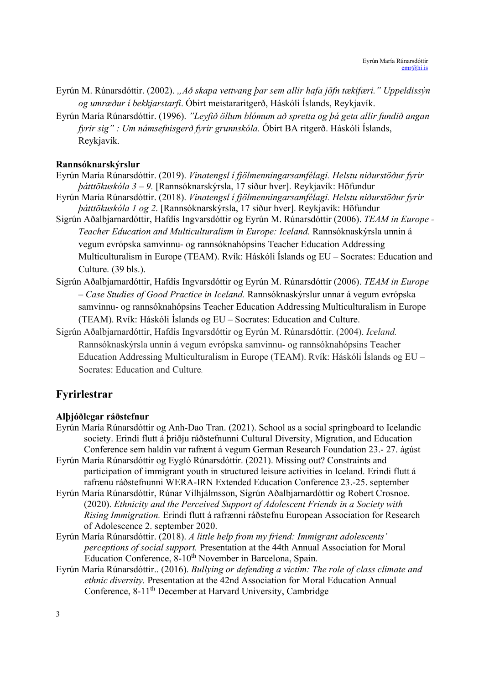- Eyrún M. Rúnarsdóttir. (2002). "Að skapa vettvang þar sem allir hafa jöfn tækifæri." Uppeldissýn og umræður í bekkjarstarfi. Óbirt meistararitgerð, Háskóli Íslands, Reykjavík.
- Eyrún María Rúnarsdóttir. (1996). "Leyfið öllum blómum að spretta og þá geta allir fundið angan fyrir sig" : Um námsefnisgerð fyrir grunnskóla. Óbirt BA ritgerð. Háskóli Íslands, Reykjavík.

### Rannsóknarskýrslur

- Eyrún María Rúnarsdóttir. (2019). Vinatengsl í fjölmenningarsamfélagi. Helstu niðurstöður fyrir þátttökuskóla 3 – 9. [Rannsóknarskýrsla, 17 síður hver]. Reykjavík: Höfundur
- Eyrún María Rúnarsdóttir. (2018). Vinatengsl í fjölmenningarsamfélagi. Helstu niðurstöður fyrir þátttökuskóla 1 og 2. [Rannsóknarskýrsla, 17 síður hver]. Reykjavík: Höfundur
- Sigrún Aðalbjarnardóttir, Hafdís Ingvarsdóttir og Eyrún M. Rúnarsdóttir (2006). TEAM in Europe Teacher Education and Multiculturalism in Europe: Iceland. Rannsóknaskýrsla unnin á vegum evrópska samvinnu- og rannsóknahópsins Teacher Education Addressing Multiculturalism in Europe (TEAM). Rvík: Háskóli Íslands og EU – Socrates: Education and Culture. (39 bls.).
- Sigrún Aðalbjarnardóttir, Hafdís Ingvarsdóttir og Eyrún M. Rúnarsdóttir (2006). TEAM in Europe – Case Studies of Good Practice in Iceland. Rannsóknaskýrslur unnar á vegum evrópska samvinnu- og rannsóknahópsins Teacher Education Addressing Multiculturalism in Europe (TEAM). Rvík: Háskóli Íslands og EU – Socrates: Education and Culture.
- Sigrún Aðalbjarnardóttir, Hafdís Ingvarsdóttir og Eyrún M. Rúnarsdóttir. (2004). Iceland. Rannsóknaskýrsla unnin á vegum evrópska samvinnu- og rannsóknahópsins Teacher Education Addressing Multiculturalism in Europe (TEAM). Rvík: Háskóli Íslands og EU – Socrates: Education and Culture.

## Fyrirlestrar

### Alþjóðlegar ráðstefnur

- Eyrún María Rúnarsdóttir og Anh-Dao Tran. (2021). School as a social springboard to Icelandic society. Erindi flutt á þriðju ráðstefnunni Cultural Diversity, Migration, and Education Conference sem haldin var rafrænt á vegum German Research Foundation 23.- 27. ágúst
- Eyrún María Rúnarsdóttir og Eygló Rúnarsdóttir. (2021). Missing out? Constraints and participation of immigrant youth in structured leisure activities in Iceland. Erindi flutt á rafrænu ráðstefnunni WERA-IRN Extended Education Conference 23.-25. september
- Eyrún María Rúnarsdóttir, Rúnar Vilhjálmsson, Sigrún Aðalbjarnardóttir og Robert Crosnoe. (2020). Ethnicity and the Perceived Support of Adolescent Friends in a Society with Rising Immigration. Erindi flutt á rafrænni ráðstefnu European Association for Research of Adolescence 2. september 2020.
- Eyrún María Rúnarsdóttir. (2018). A little help from my friend: Immigrant adolescents' perceptions of social support. Presentation at the 44th Annual Association for Moral Education Conference, 8-10<sup>th</sup> November in Barcelona, Spain.
- Eyrún María Rúnarsdóttir.. (2016). Bullying or defending a victim: The role of class climate and ethnic diversity. Presentation at the 42nd Association for Moral Education Annual Conference, 8-11<sup>th</sup> December at Harvard University, Cambridge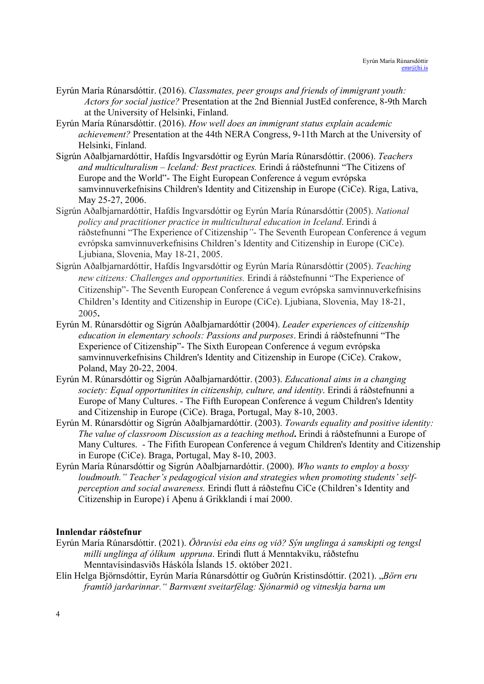- Eyrún María Rúnarsdóttir. (2016). Classmates, peer groups and friends of immigrant youth: Actors for social justice? Presentation at the 2nd Biennial JustEd conference, 8-9th March at the University of Helsinki, Finland.
- Eyrún María Rúnarsdóttir. (2016). How well does an immigrant status explain academic achievement? Presentation at the 44th NERA Congress, 9-11th March at the University of Helsinki, Finland.
- Sigrún Aðalbjarnardóttir, Hafdís Ingvarsdóttir og Eyrún María Rúnarsdóttir. (2006). Teachers and multiculturalism – Iceland: Best practices. Erindi á ráðstefnunni "The Citizens of Europe and the World"- The Eight European Conference á vegum evrópska samvinnuverkefnisins Children's Identity and Citizenship in Europe (CiCe). Riga, Lativa, May 25-27, 2006.
- Sigrún Aðalbjarnardóttir, Hafdís Ingvarsdóttir og Eyrún María Rúnarsdóttir (2005). National policy and practitioner practice in multicultural education in Iceland. Erindi á ráðstefnunni "The Experience of Citizenship"- The Seventh European Conference á vegum evrópska samvinnuverkefnisins Children's Identity and Citizenship in Europe (CiCe). Ljubiana, Slovenia, May 18-21, 2005.
- Sigrún Aðalbjarnardóttir, Hafdís Ingvarsdóttir og Eyrún María Rúnarsdóttir (2005). Teaching new citizens: Challenges and opportunities. Erindi á ráðstefnunni "The Experience of Citizenship"- The Seventh European Conference á vegum evrópska samvinnuverkefnisins Children's Identity and Citizenship in Europe (CiCe). Ljubiana, Slovenia, May 18-21, 2005.
- Eyrún M. Rúnarsdóttir og Sigrún Aðalbjarnardóttir (2004). Leader experiences of citizenship education in elementary schools: Passions and purposes. Erindi á ráðstefnunni "The Experience of Citizenship"- The Sixth European Conference á vegum evrópska samvinnuverkefnisins Children's Identity and Citizenship in Europe (CiCe). Crakow, Poland, May 20-22, 2004.
- Eyrún M. Rúnarsdóttir og Sigrún Aðalbjarnardóttir. (2003). Educational aims in a changing society: Equal opportunitites in citizenship, culture, and identity. Erindi á ráðstefnunni a Europe of Many Cultures. - The Fifth European Conference á vegum Children's Identity and Citizenship in Europe (CiCe). Braga, Portugal, May 8-10, 2003.
- Eyrún M. Rúnarsdóttir og Sigrún Aðalbjarnardóttir. (2003). Towards equality and positive identity: The value of classroom Discussion as a teaching method. Erindi á ráðstefnunni a Europe of Many Cultures. - The Fifith European Conference á vegum Children's Identity and Citizenship in Europe (CiCe). Braga, Portugal, May 8-10, 2003.
- Eyrún María Rúnarsdóttir og Sigrún Aðalbjarnardóttir. (2000). Who wants to employ a bossy loudmouth." Teacher's pedagogical vision and strategies when promoting students' selfperception and social awareness. Erindi flutt á ráðstefnu CiCe (Children's Identity and Citizenship in Europe) í Aþenu á Grikklandi í maí 2000.

### Innlendar ráðstefnur

- Eyrún María Rúnarsdóttir. (2021). Öðruvísi eða eins og við? Sýn unglinga á samskipti og tengsl milli unglinga af ólíkum uppruna. Erindi flutt á Menntakviku, ráðstefnu Menntavísindasviðs Háskóla Íslands 15. október 2021.
- Elín Helga Björnsdóttir, Eyrún María Rúnarsdóttir og Guðrún Kristinsdóttir. (2021). "Börn eru framtíð jarðarinnar." Barnvænt sveitarfélag: Sjónarmið og vitneskja barna um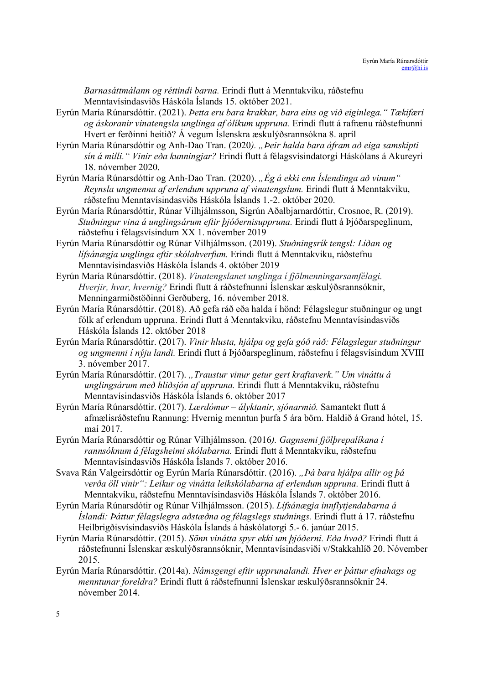Barnasáttmálann og réttindi barna. Erindi flutt á Menntakviku, ráðstefnu Menntavísindasviðs Háskóla Íslands 15. október 2021.

- Eyrún María Rúnarsdóttir. (2021). Þetta eru bara krakkar, bara eins og við eiginlega." Tækifæri og áskoranir vinatengsla unglinga af ólíkum uppruna. Erindi flutt á rafrænu ráðstefnunni Hvert er ferðinni heitið? Á vegum Íslenskra æskulýðsrannsókna 8. apríl
- Eyrún María Rúnarsdóttir og Anh-Dao Tran. (2020). "Þeir halda bara áfram að eiga samskipti sín á milli." Vinir eða kunningjar? Erindi flutt á félagsvísindatorgi Háskólans á Akureyri 18. nóvember 2020.
- Eyrún María Rúnarsdóttir og Anh-Dao Tran. (2020). "Ég á ekki enn Íslendinga að vinum" Reynsla ungmenna af erlendum uppruna af vinatengslum. Erindi flutt á Menntakviku, ráðstefnu Menntavísindasviðs Háskóla Íslands 1.-2. október 2020.
- Eyrún María Rúnarsdóttir, Rúnar Vilhjálmsson, Sigrún Aðalbjarnardóttir, Crosnoe, R. (2019). Stuðningur vina á unglingsárum eftir þjóðernisuppruna. Erindi flutt á Þjóðarspeglinum, ráðstefnu í félagsvísindum XX 1. nóvember 2019
- Eyrún María Rúnarsdóttir og Rúnar Vilhjálmsson. (2019). Stuðningsrík tengsl: Líðan og lífsánægja unglinga eftir skólahverfum. Erindi flutt á Menntakviku, ráðstefnu Menntavísindasviðs Háskóla Íslands 4. október 2019
- Eyrún María Rúnarsdóttir. (2018). Vinatengslanet unglinga í fjölmenningarsamfélagi. Hverjir, hvar, hvernig? Erindi flutt á ráðstefnunni Íslenskar æskulýðsrannsóknir, Menningarmiðstöðinni Gerðuberg, 16. nóvember 2018.
- Eyrún María Rúnarsdóttir. (2018). Að gefa ráð eða halda í hönd: Félagslegur stuðningur og ungt fólk af erlendum uppruna. Erindi flutt á Menntakviku, ráðstefnu Menntavísindasviðs Háskóla Íslands 12. október 2018
- Eyrún María Rúnarsdóttir. (2017). Vinir hlusta, hjálpa og gefa góð ráð: Félagslegur stuðningur og ungmenni í nýju landi. Erindi flutt á Þjóðarspeglinum, ráðstefnu í félagsvísindum XVIII 3. nóvember 2017.
- Eyrún María Rúnarsdóttir. (2017). "Traustur vinur getur gert kraftaverk." Um vináttu á unglingsárum með hliðsjón af uppruna. Erindi flutt á Menntakviku, ráðstefnu Menntavísindasviðs Háskóla Íslands 6. október 2017
- Eyrún María Rúnarsdóttir. (2017). Lærdómur ályktanir, sjónarmið. Samantekt flutt á afmælisráðstefnu Rannung: Hvernig menntun þurfa 5 ára börn. Haldið á Grand hótel, 15. maí 2017.
- Eyrún María Rúnarsdóttir og Rúnar Vilhjálmsson. (2016). Gagnsemi fjölþrepalíkana í rannsóknum á félagsheimi skólabarna. Erindi flutt á Menntakviku, ráðstefnu Menntavísindasviðs Háskóla Íslands 7. október 2016.
- Svava Rán Valgeirsdóttir og Eyrún María Rúnarsdóttir. (2016). "Þá bara hjálpa allir og þá verða öll vinir": Leikur og vinátta leikskólabarna af erlendum uppruna. Erindi flutt á Menntakviku, ráðstefnu Menntavísindasviðs Háskóla Íslands 7. október 2016.
- Eyrún María Rúnarsdótir og Rúnar Vilhjálmsson. (2015). Lífsánægja innflytjendabarna á Íslandi: Þáttur félagslegra aðstæðna og félagslegs stuðnings. Erindi flutt á 17. ráðstefnu Heilbrigðisvísindasviðs Háskóla Íslands á háskólatorgi 5.- 6. janúar 2015.
- Eyrún María Rúnarsdóttir. (2015). Sönn vinátta spyr ekki um þjóðerni. Eða hvað? Erindi flutt á ráðstefnunni Íslenskar æskulýðsrannsóknir, Menntavísindasviði v/Stakkahlíð 20. Nóvember 2015.
- Eyrún María Rúnarsdóttir. (2014a). Námsgengi eftir upprunalandi. Hver er þáttur efnahags og menntunar foreldra? Erindi flutt á ráðstefnunni Íslenskar æskulýðsrannsóknir 24. nóvember 2014.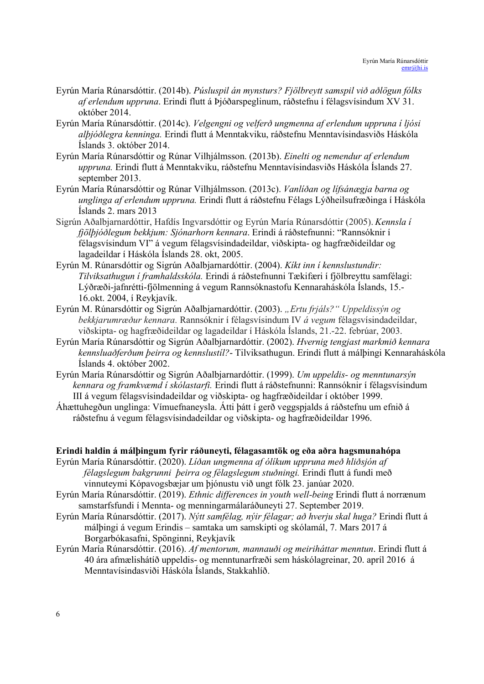- Eyrún María Rúnarsdóttir. (2014b). Púsluspil án mynsturs? Fjölbreytt samspil við aðlögun fólks af erlendum uppruna. Erindi flutt á Þjóðarspeglinum, ráðstefnu í félagsvísindum XV 31. október 2014.
- Eyrún María Rúnarsdóttir. (2014c). Velgengni og velferð ungmenna af erlendum uppruna í ljósi alþjóðlegra kenninga. Erindi flutt á Menntakviku, ráðstefnu Menntavísindasviðs Háskóla Íslands 3. október 2014.
- Eyrún María Rúnarsdóttir og Rúnar Vilhjálmsson. (2013b). Einelti og nemendur af erlendum uppruna. Erindi flutt á Menntakviku, ráðstefnu Menntavísindasviðs Háskóla Íslands 27. september 2013.
- Eyrún María Rúnarsdóttir og Rúnar Vilhjálmsson. (2013c). Vanlíðan og lífsánægja barna og unglinga af erlendum uppruna. Erindi flutt á ráðstefnu Félags Lýðheilsufræðinga í Háskóla Íslands 2. mars 2013
- Sigrún Aðalbjarnardóttir, Hafdís Ingvarsdóttir og Eyrún María Rúnarsdóttir (2005). Kennsla í fjölþjóðlegum bekkjum: Sjónarhorn kennara. Erindi á ráðstefnunni: "Rannsóknir í félagsvísindum VI" á vegum félagsvísindadeildar, viðskipta- og hagfræðideildar og lagadeildar í Háskóla Íslands 28. okt, 2005.
- Eyrún M. Rúnarsdóttir og Sigrún Aðalbjarnardóttir. (2004). Kíkt inn í kennslustundir: Tilviksathugun í framhaldsskóla. Erindi á ráðstefnunni Tækifæri í fjölbreyttu samfélagi: Lýðræði-jafnrétti-fjölmenning á vegum Rannsóknastofu Kennaraháskóla Íslands, 15.- 16.okt. 2004, í Reykjavík.
- Eyrún M. Rúnarsdóttir og Sigrún Aðalbjarnardóttir. (2003). "Ertu frjáls?" Uppeldissýn og bekkjarumræður kennara. Rannsóknir í félagsvísindum IV á vegum félagsvísindadeildar, viðskipta- og hagfræðideildar og lagadeildar í Háskóla Íslands, 21.-22. febrúar, 2003.
- Eyrún María Rúnarsdóttir og Sigrún Aðalbjarnardóttir. (2002). Hvernig tengjast markmið kennara kennsluaðferðum þeirra og kennslustíl?- Tilviksathugun. Erindi flutt á málþingi Kennaraháskóla Íslands 4. október 2002.
- Eyrún María Rúnarsdóttir og Sigrún Aðalbjarnardóttir. (1999). Um uppeldis- og menntunarsýn kennara og framkvæmd í skólastarfi. Erindi flutt á ráðstefnunni: Rannsóknir í félagsvísindum III á vegum félagsvísindadeildar og viðskipta- og hagfræðideildar í október 1999.
- Áhættuhegðun unglinga: Vímuefnaneysla. Átti þátt í gerð veggspjalds á ráðstefnu um efnið á ráðstefnu á vegum félagsvísindadeildar og viðskipta- og hagfræðideildar 1996.

#### Erindi haldin á málþingum fyrir ráðuneyti, félagasamtök og eða aðra hagsmunahópa

- Eyrún María Rúnarsdóttir. (2020). Líðan ungmenna af ólíkum uppruna með hliðsjón af félagslegum bakgrunni þeirra og félagslegum stuðningi. Erindi flutt á fundi með vinnuteymi Kópavogsbæjar um þjónustu við ungt fólk 23. janúar 2020.
- Eyrún María Rúnarsdóttir. (2019). Ethnic differences in youth well-being Erindi flutt á norrænum samstarfsfundi í Mennta- og menningarmálaráðuneyti 27. September 2019.
- Eyrún María Rúnarsdóttir. (2017). Nýtt samfélag, nýir félagar; að hverju skal huga? Erindi flutt á málþingi á vegum Erindis – samtaka um samskipti og skólamál, 7. Mars 2017 á Borgarbókasafni, Spönginni, Reykjavík
- Eyrún María Rúnarsdóttir. (2016). Af mentorum, mannauði og meiriháttar menntun. Erindi flutt á 40 ára afmælishátíð uppeldis- og menntunarfræði sem háskólagreinar, 20. apríl 2016 á Menntavísindasviði Háskóla Íslands, Stakkahlíð.